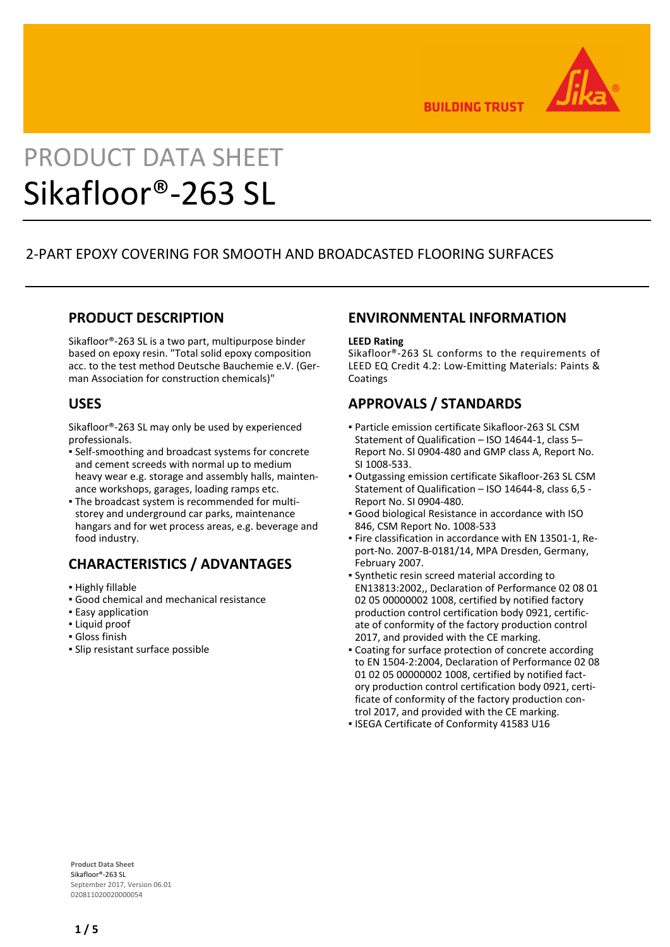

**BUILDING TRUST** 

# PRODUCT DATA SHEET Sikafloor®-263 SL

# 2-PART EPOXY COVERING FOR SMOOTH AND BROADCASTED FLOORING SURFACES

# **PRODUCT DESCRIPTION**

Sikafloor®-263 SL is a two part, multipurpose binder based on epoxy resin. "Total solid epoxy composition acc. to the test method Deutsche Bauchemie e.V. (German Association for construction chemicals)"

# **USES**

Sikafloor®-263 SL may only be used by experienced professionals.

- Self-smoothing and broadcast systems for concrete and cement screeds with normal up to medium heavy wear e.g. storage and assembly halls, maintenance workshops, garages, loading ramps etc.
- The broadcast system is recommended for multi-▪ storey and underground car parks, maintenance hangars and for wet process areas, e.g. beverage and food industry.

# **CHARACTERISTICS / ADVANTAGES**

- Highly fillable
- Good chemical and mechanical resistance
- **Easy application**
- Liquid proof
- Gloss finish
- Slip resistant surface possible

# **ENVIRONMENTAL INFORMATION**

#### **LEED Rating**

Sikafloor®-263 SL conforms to the requirements of LEED EQ Credit 4.2: Low-Emitting Materials: Paints & Coatings

# **APPROVALS / STANDARDS**

- Particle emission certificate Sikafloor-263 SL CSM Statement of Qualification – ISO 14644-1, class 5– Report No. SI 0904-480 and GMP class A, Report No. SI 1008-533.
- Outgassing emission certificate Sikafloor-263 SL CSM Statement of Qualification – ISO 14644-8, class 6,5 - Report No. SI 0904-480.
- Good biological Resistance in accordance with ISO 846, CSM Report No. 1008-533
- Fire classification in accordance with EN 13501-1, Re-▪ port-No. 2007-B-0181/14, MPA Dresden, Germany, February 2007.
- Synthetic resin screed material according to EN13813:2002,, Declaration of Performance 02 08 01 02 05 00000002 1008, certified by notified factory production control certification body 0921, certificate of conformity of the factory production control 2017, and provided with the CE marking.
- Coating for surface protection of concrete according to EN 1504-2:2004, Declaration of Performance 02 08 01 02 05 00000002 1008, certified by notified factory production control certification body 0921, certificate of conformity of the factory production control 2017, and provided with the CE marking.
- ISEGA Certificate of Conformity 41583 U16

**Product Data Sheet** Sikafloor®-263 SL September 2017, Version 06.01 020811020020000054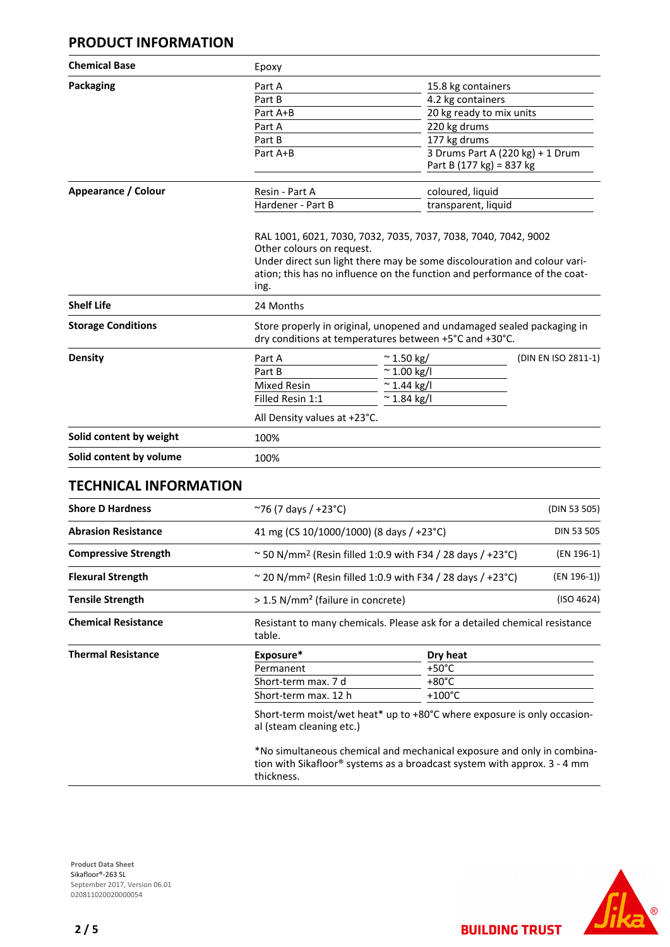## **PRODUCT INFORMATION**

| Epoxy                                                                                                                                                         |                          |                                                                                                                                                                     |  |
|---------------------------------------------------------------------------------------------------------------------------------------------------------------|--------------------------|---------------------------------------------------------------------------------------------------------------------------------------------------------------------|--|
| Part A                                                                                                                                                        | 15.8 kg containers       |                                                                                                                                                                     |  |
| Part B                                                                                                                                                        | 4.2 kg containers        |                                                                                                                                                                     |  |
| 20 kg ready to mix units<br>Part A+B                                                                                                                          |                          |                                                                                                                                                                     |  |
| Part A                                                                                                                                                        |                          |                                                                                                                                                                     |  |
| Part B                                                                                                                                                        | 177 kg drums             |                                                                                                                                                                     |  |
| Part A+B                                                                                                                                                      | Part B (177 kg) = 837 kg | 3 Drums Part A (220 kg) + 1 Drum                                                                                                                                    |  |
| Resin - Part A                                                                                                                                                |                          | coloured, liquid                                                                                                                                                    |  |
| Hardener - Part B                                                                                                                                             |                          | transparent, liquid                                                                                                                                                 |  |
| Under direct sun light there may be some discolouration and colour vari-<br>ation; this has no influence on the function and performance of the coat-<br>ing. |                          |                                                                                                                                                                     |  |
| Store properly in original, unopened and undamaged sealed packaging in<br>dry conditions at temperatures between +5°C and +30°C.                              |                          |                                                                                                                                                                     |  |
| Part A                                                                                                                                                        | $~^{\sim}$ 1.50 kg/      | (DIN EN ISO 2811-1)                                                                                                                                                 |  |
| Part B                                                                                                                                                        | $~^{\sim}$ 1.00 kg/l     |                                                                                                                                                                     |  |
| <b>Mixed Resin</b>                                                                                                                                            |                          |                                                                                                                                                                     |  |
| Filled Resin 1:1                                                                                                                                              | $~^{\sim}$ 1.84 kg/l     |                                                                                                                                                                     |  |
|                                                                                                                                                               |                          |                                                                                                                                                                     |  |
| 100%                                                                                                                                                          |                          |                                                                                                                                                                     |  |
| 100%                                                                                                                                                          |                          |                                                                                                                                                                     |  |
|                                                                                                                                                               | 24 Months                | 220 kg drums<br>RAL 1001, 6021, 7030, 7032, 7035, 7037, 7038, 7040, 7042, 9002<br>Other colours on request.<br>$~^{\sim}$ 1.44 kg/l<br>All Density values at +23°C. |  |

#### **TECHNICAL INFORMATION**

| <b>Shore D Hardness</b>     | $\sim$ 76 (7 days / +23°C)                                                                                    |                                                                                                                                                           | (DIN 53 505) |  |
|-----------------------------|---------------------------------------------------------------------------------------------------------------|-----------------------------------------------------------------------------------------------------------------------------------------------------------|--------------|--|
| <b>Abrasion Resistance</b>  | 41 mg (CS 10/1000/1000) (8 days / +23°C)                                                                      |                                                                                                                                                           | DIN 53 505   |  |
| <b>Compressive Strength</b> | $\approx$ 50 N/mm <sup>2</sup> (Resin filled 1:0.9 with F34 / 28 days / +23 °C)                               |                                                                                                                                                           | (EN 196-1)   |  |
| <b>Flexural Strength</b>    | $\sim$ 20 N/mm <sup>2</sup> (Resin filled 1:0.9 with F34 / 28 days / +23°C)                                   |                                                                                                                                                           | (EN 196-1))  |  |
| <b>Tensile Strength</b>     | > 1.5 N/mm <sup>2</sup> (failure in concrete)                                                                 |                                                                                                                                                           | (ISO 4624)   |  |
| <b>Chemical Resistance</b>  | Resistant to many chemicals. Please ask for a detailed chemical resistance<br>table.                          |                                                                                                                                                           |              |  |
| <b>Thermal Resistance</b>   | Exposure*                                                                                                     | Dry heat                                                                                                                                                  |              |  |
|                             | Permanent                                                                                                     | $+50^{\circ}$ C                                                                                                                                           |              |  |
|                             | Short-term max. 7 d                                                                                           | $+80^{\circ}$ C                                                                                                                                           |              |  |
|                             | Short-term max. 12 h                                                                                          | $+100^{\circ}$ C                                                                                                                                          |              |  |
|                             | Short-term moist/wet heat* up to $+80^{\circ}$ C where exposure is only occasion-<br>al (steam cleaning etc.) |                                                                                                                                                           |              |  |
|                             |                                                                                                               | *No simultaneous chemical and mechanical exposure and only in combina-<br>tion with Cilcofloon® outpasses on a broadcoat quoters with opperatus Old Marso |              |  |

tion with Sikafloor® systems as a broadcast system with approx. 3 - 4 mm thickness.



**BUILDING TRUST** 

**Product Data Sheet** Sikafloor®-263 SL September 2017, Version 06.01 020811020020000054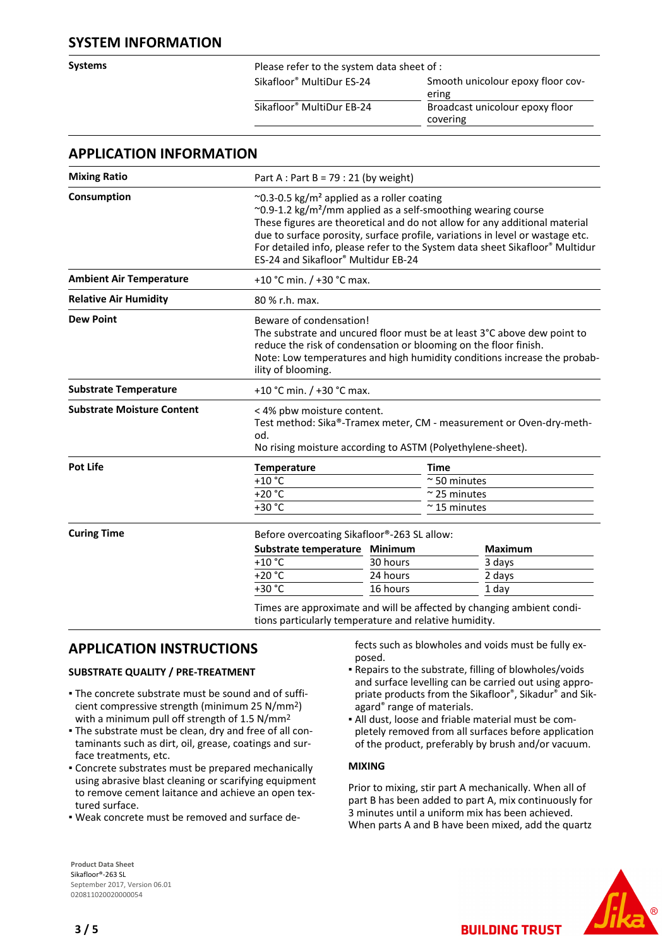## **SYSTEM INFORMATION**

**Systems** Please refer to the system data sheet of :

Sikafloor® MultiDur ES-24 Smooth unicolour epoxy floor covering Sikafloor® MultiDur EB-24 Broadcast unicolour epoxy floor covering

|  | <b>APPLICATION INFORMATION</b> |
|--|--------------------------------|
|--|--------------------------------|

| <b>Mixing Ratio</b>               |                                                                                                                                                                                                                                                                                                                                                                                                                                       | Part A : Part B = $79:21$ (by weight) |                      |  |  |
|-----------------------------------|---------------------------------------------------------------------------------------------------------------------------------------------------------------------------------------------------------------------------------------------------------------------------------------------------------------------------------------------------------------------------------------------------------------------------------------|---------------------------------------|----------------------|--|--|
| Consumption                       | $\sim$ 0.3-0.5 kg/m <sup>2</sup> applied as a roller coating<br>$\sim$ 0.9-1.2 kg/m <sup>2</sup> /mm applied as a self-smoothing wearing course<br>These figures are theoretical and do not allow for any additional material<br>due to surface porosity, surface profile, variations in level or wastage etc.<br>For detailed info, please refer to the System data sheet Sikafloor® Multidur<br>ES-24 and Sikafloor® Multidur EB-24 |                                       |                      |  |  |
| <b>Ambient Air Temperature</b>    | +10 °C min. / +30 °C max.                                                                                                                                                                                                                                                                                                                                                                                                             |                                       |                      |  |  |
| <b>Relative Air Humidity</b>      | 80 % r.h. max.                                                                                                                                                                                                                                                                                                                                                                                                                        |                                       |                      |  |  |
| <b>Dew Point</b>                  | Beware of condensation!<br>The substrate and uncured floor must be at least 3°C above dew point to<br>reduce the risk of condensation or blooming on the floor finish.<br>Note: Low temperatures and high humidity conditions increase the probab-<br>ility of blooming.                                                                                                                                                              |                                       |                      |  |  |
| <b>Substrate Temperature</b>      | +10 °C min. $/$ +30 °C max.                                                                                                                                                                                                                                                                                                                                                                                                           |                                       |                      |  |  |
| <b>Substrate Moisture Content</b> | < 4% pbw moisture content.<br>Test method: Sika®-Tramex meter, CM - measurement or Oven-dry-meth-<br>od.<br>No rising moisture according to ASTM (Polyethylene-sheet).                                                                                                                                                                                                                                                                |                                       |                      |  |  |
| <b>Pot Life</b>                   | Temperature                                                                                                                                                                                                                                                                                                                                                                                                                           |                                       | <b>Time</b>          |  |  |
|                                   | $+10$ °C                                                                                                                                                                                                                                                                                                                                                                                                                              |                                       | $~\sim$ 50 minutes   |  |  |
|                                   | $+20 °C$                                                                                                                                                                                                                                                                                                                                                                                                                              |                                       | $\approx$ 25 minutes |  |  |
|                                   | $+30 °C$                                                                                                                                                                                                                                                                                                                                                                                                                              |                                       | $\approx$ 15 minutes |  |  |
| <b>Curing Time</b>                | Before overcoating Sikafloor®-263 SL allow:                                                                                                                                                                                                                                                                                                                                                                                           |                                       |                      |  |  |
|                                   | Substrate temperature Minimum                                                                                                                                                                                                                                                                                                                                                                                                         |                                       | <b>Maximum</b>       |  |  |
|                                   | $+10$ °C                                                                                                                                                                                                                                                                                                                                                                                                                              | 30 hours                              | 3 days               |  |  |
|                                   | $+20 °C$                                                                                                                                                                                                                                                                                                                                                                                                                              | 24 hours                              | 2 days               |  |  |
|                                   | +30 °C                                                                                                                                                                                                                                                                                                                                                                                                                                | 16 hours                              | 1 day                |  |  |

tions particularly temperature and relative humidity.

# **APPLICATION INSTRUCTIONS**

#### **SUBSTRATE QUALITY / PRE-TREATMENT**

- The concrete substrate must be sound and of suffi-▪ cient compressive strength (minimum 25 N/mm2) with a minimum pull off strength of 1.5 N/mm2
- The substrate must be clean, dry and free of all con-▪ taminants such as dirt, oil, grease, coatings and surface treatments, etc.
- Concrete substrates must be prepared mechanically using abrasive blast cleaning or scarifying equipment to remove cement laitance and achieve an open textured surface.
- Weak concrete must be removed and surface de-

**Product Data Sheet** Sikafloor®-263 SL September 2017, Version 06.01 020811020020000054

fects such as blowholes and voids must be fully exposed.

- Repairs to the substrate, filling of blowholes/voids and surface levelling can be carried out using appropriate products from the Sikafloor®, Sikadur® and Sikagard® range of materials.
- All dust, loose and friable material must be com-▪ pletely removed from all surfaces before application of the product, preferably by brush and/or vacuum.

#### **MIXING**

Prior to mixing, stir part A mechanically. When all of part B has been added to part A, mix continuously for 3 minutes until a uniform mix has been achieved. When parts A and B have been mixed, add the quartz

**BUILDING TRUST** 

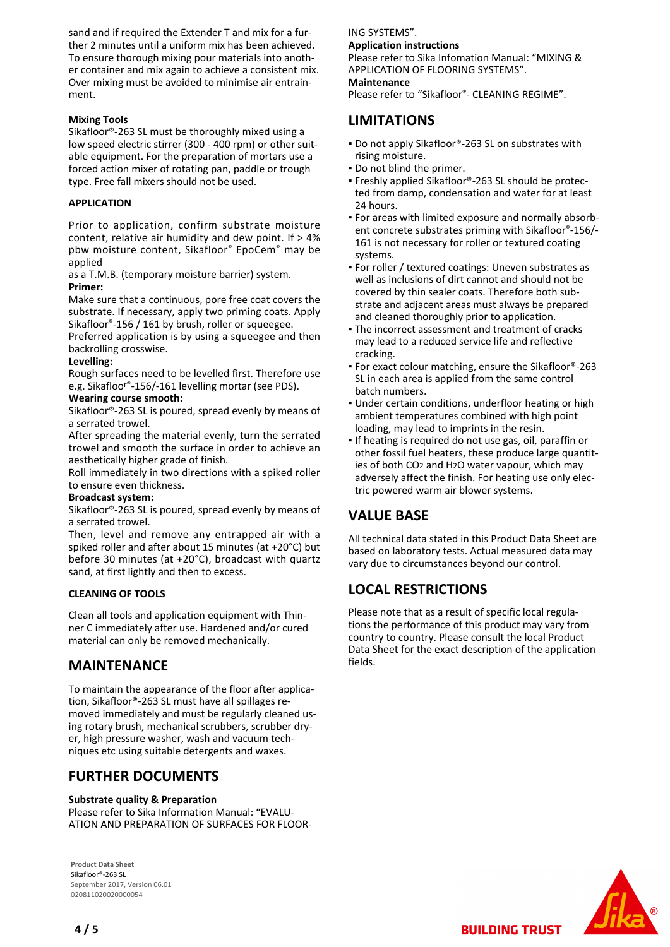sand and if required the Extender T and mix for a further 2 minutes until a uniform mix has been achieved. To ensure thorough mixing pour materials into another container and mix again to achieve a consistent mix. Over mixing must be avoided to minimise air entrainment.

#### **Mixing Tools**

Sikafloor®-263 SL must be thoroughly mixed using a low speed electric stirrer (300 - 400 rpm) or other suitable equipment. For the preparation of mortars use a forced action mixer of rotating pan, paddle or trough type. Free fall mixers should not be used.

#### **APPLICATION**

Prior to application, confirm substrate moisture content, relative air humidity and dew point. If > 4% pbw moisture content, Sikafloor® EpoCem® may be applied

as a T.M.B. (temporary moisture barrier) system. **Primer:**

Make sure that a continuous, pore free coat covers the substrate. If necessary, apply two priming coats. Apply Sikafloor®-156 / 161 by brush, roller or squeegee.

Preferred application is by using a squeegee and then backrolling crosswise.

#### **Levelling:**

Rough surfaces need to be levelled first. Therefore use e.g. Sikafloor®-156/-161 levelling mortar (see PDS).

#### **Wearing course smooth:**

Sikafloor®-263 SL is poured, spread evenly by means of a serrated trowel.

After spreading the material evenly, turn the serrated trowel and smooth the surface in order to achieve an aesthetically higher grade of finish.

Roll immediately in two directions with a spiked roller to ensure even thickness.

#### **Broadcast system:**

Sikafloor®-263 SL is poured, spread evenly by means of a serrated trowel.

Then, level and remove any entrapped air with a spiked roller and after about 15 minutes (at +20°C) but before 30 minutes (at +20°C), broadcast with quartz sand, at first lightly and then to excess.

#### **CLEANING OF TOOLS**

Clean all tools and application equipment with Thinner C immediately after use. Hardened and/or cured material can only be removed mechanically.

## **MAINTENANCE**

To maintain the appearance of the floor after application, Sikafloor®-263 SL must have all spillages removed immediately and must be regularly cleaned using rotary brush, mechanical scrubbers, scrubber dryer, high pressure washer, wash and vacuum techniques etc using suitable detergents and waxes.

# **FURTHER DOCUMENTS**

#### **Substrate quality & Preparation**

Please refer to Sika Information Manual: "EVALU-ATION AND PREPARATION OF SURFACES FOR FLOOR-

**Product Data Sheet** Sikafloor®-263 SL September 2017, Version 06.01 020811020020000054

ING SYSTEMS". **Application instructions** Please refer to Sika Infomation Manual: "MIXING &

APPLICATION OF FLOORING SYSTEMS".

#### **Maintenance**

Please refer to "Sikafloor®- CLEANING REGIME".

## **LIMITATIONS**

- Do not apply Sikafloor®-263 SL on substrates with rising moisture.
- Do not blind the primer.
- Freshly applied Sikafloor®-263 SL should be protec-▪ ted from damp, condensation and water for at least 24 hours.
- For areas with limited exposure and normally absorb-▪ ent concrete substrates priming with Sikafloor®-156/- 161 is not necessary for roller or textured coating systems.
- For roller / textured coatings: Uneven substrates as well as inclusions of dirt cannot and should not be covered by thin sealer coats. Therefore both substrate and adjacent areas must always be prepared and cleaned thoroughly prior to application.
- The incorrect assessment and treatment of cracks may lead to a reduced service life and reflective cracking.
- For exact colour matching, ensure the Sikafloor®-263 SL in each area is applied from the same control batch numbers.
- **.** Under certain conditions, underfloor heating or high ambient temperatures combined with high point loading, may lead to imprints in the resin.
- **.** If heating is required do not use gas, oil, paraffin or other fossil fuel heaters, these produce large quantities of both CO2 and H2O water vapour, which may adversely affect the finish. For heating use only electric powered warm air blower systems.

# **VALUE BASE**

All technical data stated in this Product Data Sheet are based on laboratory tests. Actual measured data may vary due to circumstances beyond our control.

## **LOCAL RESTRICTIONS**

Please note that as a result of specific local regulations the performance of this product may vary from country to country. Please consult the local Product Data Sheet for the exact description of the application fields.

**BUILDING TRUST**